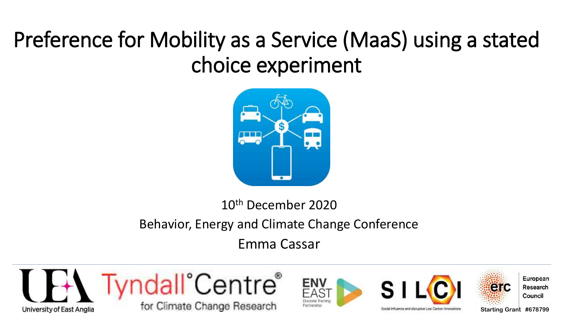# Preference for Mobility as a Service (MaaS) using a stated choice experiment



10th December 2020

Behavior, Energy and Climate Change Conference

Emma Cassar









European Research Council

**Starting Grant #678799** 

ero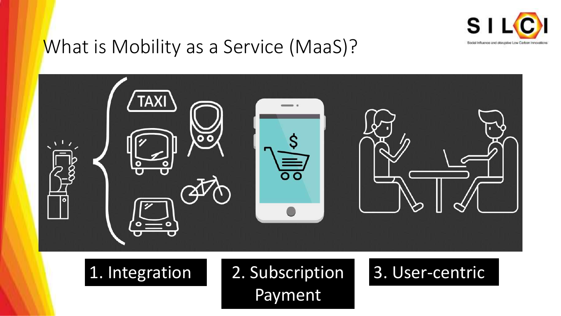

#### What is Mobility as a Service (MaaS)?



Payment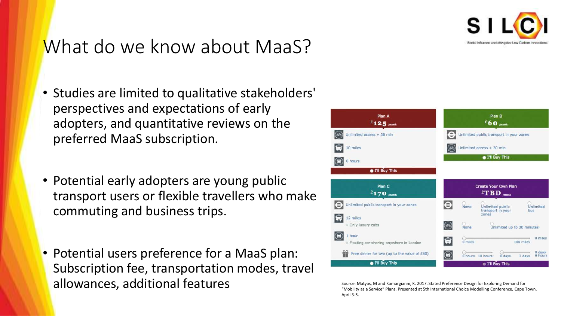

#### What do we know about MaaS?

- Studies are limited to qualitative stakeholders' perspectives and expectations of early adopters, and quantitative reviews on the preferred MaaS subscription.
- Potential early adopters are young public transport users or flexible travellers who make commuting and business trips.
- Potential users preference for a MaaS plan: Subscription fee, transportation modes, travel allowances, additional features Source: Matyas, M and Kamargianni, K. 2017. Stated Preference Design for Exploring Demand for



"Mobility as a Service" Plans. Presented at 5th International Choice Modelling Conference, Cape Town, April 3-5.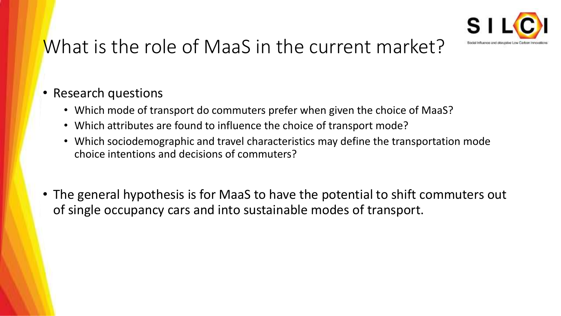

## What is the role of MaaS in the current market?

#### • Research questions

- Which mode of transport do commuters prefer when given the choice of MaaS?
- Which attributes are found to influence the choice of transport mode?
- Which sociodemographic and travel characteristics may define the transportation mode choice intentions and decisions of commuters?
- The general hypothesis is for MaaS to have the potential to shift commuters out of single occupancy cars and into sustainable modes of transport.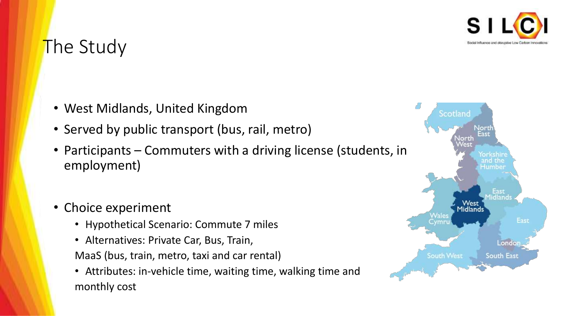

#### The Study

- West Midlands, United Kingdom
- Served by public transport (bus, rail, metro)
- Participants Commuters with a driving license (students, in employment)
- Choice experiment
	- Hypothetical Scenario: Commute 7 miles
	- Alternatives: Private Car, Bus, Train,
	- MaaS (bus, train, metro, taxi and car rental)
	- Attributes: in-vehicle time, waiting time, walking time and monthly cost

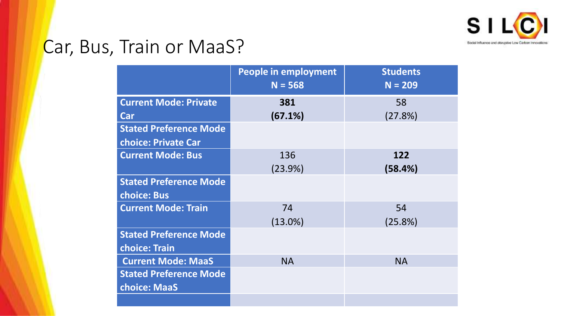

### Car, Bus, Train or MaaS?

|                               | People in employment<br>$N = 568$ | <b>Students</b><br>$N = 209$ |
|-------------------------------|-----------------------------------|------------------------------|
| <b>Current Mode: Private</b>  | 381                               | 58                           |
| Car                           | (67.1%)                           | (27.8%)                      |
| <b>Stated Preference Mode</b> |                                   |                              |
| choice: Private Car           |                                   |                              |
| <b>Current Mode: Bus</b>      | 136                               | 122                          |
|                               | (23.9%)                           | (58.4%)                      |
| <b>Stated Preference Mode</b> |                                   |                              |
| choice: Bus                   |                                   |                              |
| <b>Current Mode: Train</b>    | 74                                | 54                           |
|                               | $(13.0\%)$                        | (25.8%)                      |
| <b>Stated Preference Mode</b> |                                   |                              |
| choice: Train                 |                                   |                              |
| <b>Current Mode: MaaS</b>     | <b>NA</b>                         | <b>NA</b>                    |
| <b>Stated Preference Mode</b> |                                   |                              |
| choice: MaaS                  |                                   |                              |
|                               |                                   |                              |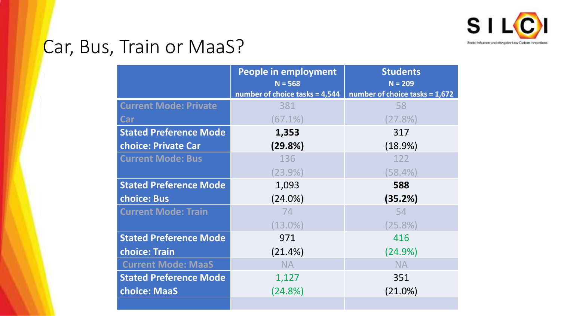

### Car, Bus, Train or MaaS?

|                               | <b>People in employment</b>    | <b>Students</b>                |
|-------------------------------|--------------------------------|--------------------------------|
|                               | $N = 568$                      | $N = 209$                      |
|                               | number of choice tasks = 4,544 | number of choice tasks = 1,672 |
| <b>Current Mode: Private</b>  | 381                            | 58                             |
| Car                           | $(67.1\%)$                     | (27.8%)                        |
| <b>Stated Preference Mode</b> | 1,353                          | 317                            |
| choice: Private Car           | (29.8%)                        | $(18.9\%)$                     |
| <b>Current Mode: Bus</b>      | 136                            | 122                            |
|                               | $(23.9\%)$                     | (58.4%)                        |
| <b>Stated Preference Mode</b> | 1,093                          | 588                            |
| choice: Bus                   | (24.0%)                        | (35.2%)                        |
| <b>Current Mode: Train</b>    | 74                             | 54                             |
|                               | $(13.0\%)$                     | $(25.8\%)$                     |
| <b>Stated Preference Mode</b> | 971                            | 416                            |
| choice: Train                 | (21.4%)                        | (24.9%)                        |
| <b>Current Mode: MaaS</b>     | <b>NA</b>                      | <b>NA</b>                      |
| <b>Stated Preference Mode</b> | 1,127                          | 351                            |
| choice: MaaS                  | (24.8%)                        | (21.0%)                        |
|                               |                                |                                |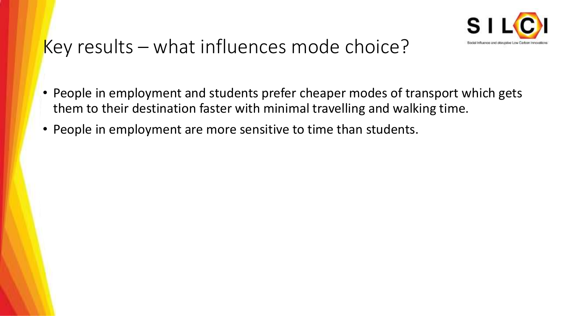

### Key results – what influences mode choice?

- People in employment and students prefer cheaper modes of transport which gets them to their destination faster with minimal travelling and walking time.
- People in employment are more sensitive to time than students.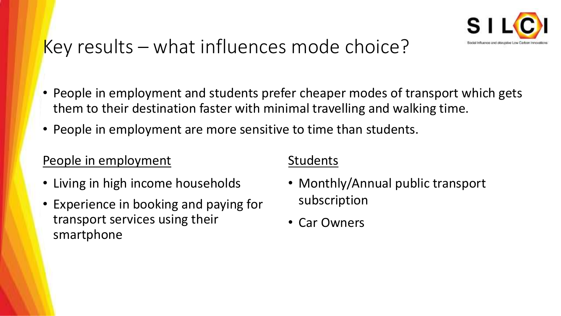

## Key results – what influences mode choice?

- People in employment and students prefer cheaper modes of transport which gets them to their destination faster with minimal travelling and walking time.
- People in employment are more sensitive to time than students.

#### People in employment

- Living in high income households
- Experience in booking and paying for transport services using their smartphone

#### Students

- Monthly/Annual public transport subscription
- Car Owners